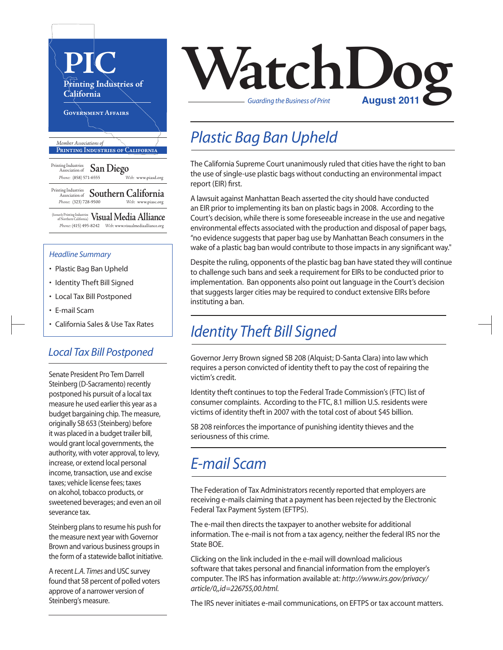

- Plastic Bag Ban Upheld
- Identity Theft Bill Signed
- Local Tax Bill Postponed
- E-mail Scam
- California Sales & Use Tax Rates

#### *Local Tax Bill Postponed*

Senate President Pro Tem Darrell Steinberg (D-Sacramento) recently postponed his pursuit of a local tax measure he used earlier this year as a budget bargaining chip. The measure, originally SB 653 (Steinberg) before it was placed in a budget trailer bill, would grant local governments, the authority, with voter approval, to levy, increase, or extend local personal income, transaction, use and excise taxes; vehicle license fees; taxes on alcohol, tobacco products, or sweetened beverages; and even an oil severance tax.

Steinberg plans to resume his push for the measure next year with Governor Brown and various business groups in the form of a statewide ballot initiative.

A recent *L.A. Times* and USC survey found that 58 percent of polled voters approve of a narrower version of Steinberg's measure.



## *Plastic Bag Ban Upheld*

The California Supreme Court unanimously ruled that cities have the right to ban the use of single-use plastic bags without conducting an environmental impact report (EIR) first.

A lawsuit against Manhattan Beach asserted the city should have conducted an EIR prior to implementing its ban on plastic bags in 2008. According to the Court's decision, while there is some foreseeable increase in the use and negative environmental effects associated with the production and disposal of paper bags, "no evidence suggests that paper bag use by Manhattan Beach consumers in the wake of a plastic bag ban would contribute to those impacts in any significant way."

Despite the ruling, opponents of the plastic bag ban have stated they will continue to challenge such bans and seek a requirement for EIRsto be conducted prior to implementation. Ban opponents also point out language in the Court's decision that suggests larger cities may be required to conduct extensive EIRs before instituting a ban.

### *Identity Theft Bill Signed*

Governor Jerry Brown signed SB 208 (Alquist; D-Santa Clara) into law which requires a person convicted of identity theft to pay the cost of repairing the victim's credit.

Identity theft continues to top the Federal Trade Commission's (FTC) list of consumer complaints. According to the FTC, 8.1 million U.S. residents were victims of identity theft in 2007 with the total cost of about \$45 billion.

SB 208 reinforces the importance of punishing identity thieves and the seriousness of this crime.

#### *E-mail Scam*

The Federation of Tax Administrators recently reported that employers are receiving e-mails claiming that a payment has been rejected by the Electronic Federal Tax Payment System (EFTPS).

The e-mail then directs the taxpayer to another website for additional information. The e-mail is not from a tax agency, neither the federal IRS nor the State BOE.

Clicking on the link included in the e-mail will download malicious software that takes personal and financial information from the employer's computer. The IRS hasinformation available at: *http://www.irs.gov/privacy/ article/0,,id=226755,00.html.*

The IRS never initiates e-mail communications, on EFTPS or tax account matters.